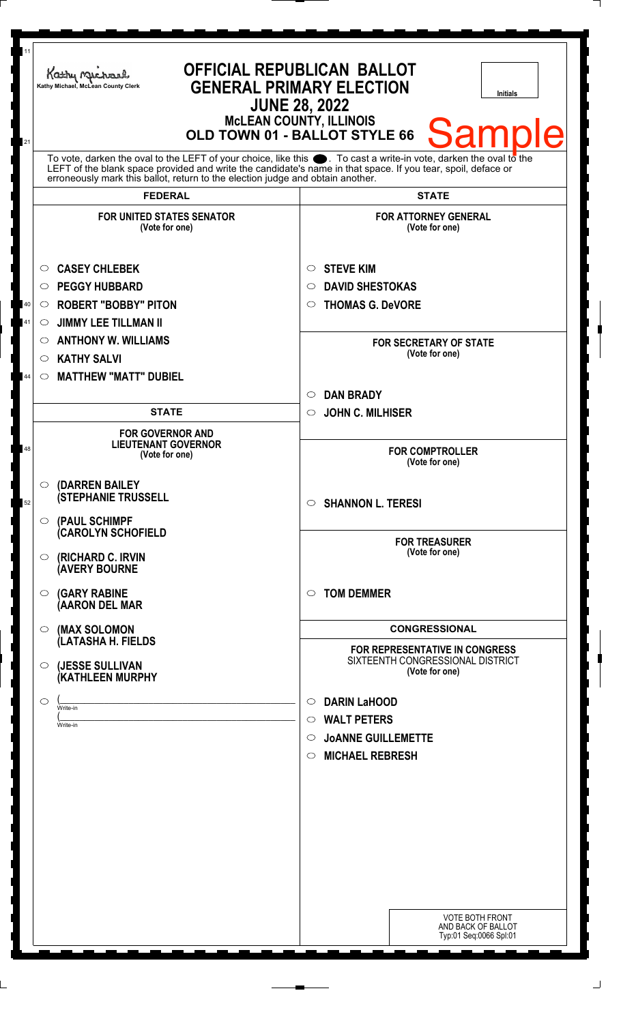| 11<br>Kathy Michael<br>Kathy Michael, McLean County Clerk<br>21                                                                                                                                                                                                                         | <b>OFFICIAL REPUBLICAN BALLOT</b><br><b>GENERAL PRIMARY ELECTION</b><br><b>Initials</b><br><b>JUNE 28, 2022</b><br><b>McLEAN COUNTY, ILLINOIS</b><br>Samp<br>OLD TOWN 01 - BALLOT STYLE 66                                                 |
|-----------------------------------------------------------------------------------------------------------------------------------------------------------------------------------------------------------------------------------------------------------------------------------------|--------------------------------------------------------------------------------------------------------------------------------------------------------------------------------------------------------------------------------------------|
| erroneously mark this ballot, return to the election judge and obtain another.                                                                                                                                                                                                          | To vote, darken the oval to the LEFT of your choice, like this $\bullet$ . To cast a write-in vote, darken the oval to the<br>LEFT of the blank space provided and write the candidate's name in that space. If you tear, spoil, deface or |
| <b>FEDERAL</b><br><b>FOR UNITED STATES SENATOR</b><br>(Vote for one)                                                                                                                                                                                                                    | <b>STATE</b><br><b>FOR ATTORNEY GENERAL</b><br>(Vote for one)                                                                                                                                                                              |
| <b>CASEY CHLEBEK</b><br>$\circ$<br><b>PEGGY HUBBARD</b><br>$\circ$<br><b>ROBERT "BOBBY" PITON</b><br>40<br>$\circ$<br><b>JIMMY LEE TILLMAN II</b><br>41<br>O<br><b>ANTHONY W. WILLIAMS</b><br>$\circ$<br><b>KATHY SALVI</b><br>$\circ$<br><b>MATTHEW "MATT" DUBIEL</b><br>44<br>$\circ$ | <b>STEVE KIM</b><br>O<br><b>DAVID SHESTOKAS</b><br>O<br><b>THOMAS G. DeVORE</b><br>$\circ$<br><b>FOR SECRETARY OF STATE</b><br>(Vote for one)                                                                                              |
| <b>STATE</b><br><b>FOR GOVERNOR AND</b><br><b>LIEUTENANT GOVERNOR</b><br>48<br>(Vote for one)                                                                                                                                                                                           | <b>DAN BRADY</b><br>$\circ$<br><b>JOHN C. MILHISER</b><br>$\circ$<br><b>FOR COMPTROLLER</b><br>(Vote for one)                                                                                                                              |
| O (DARREN BAILEY<br><b>(STEPHANIE TRUSSELL</b><br>52<br>$\circ$ (PAUL SCHIMPF<br><b>(CAROLYN SCHOFIELD</b>                                                                                                                                                                              | <b>SHANNON L. TERESI</b><br>$\circ$                                                                                                                                                                                                        |
| <b>(RICHARD C. IRVIN</b><br>O<br><b>(AVERY BOURNE</b><br>$\circ$ (GARY RABINE                                                                                                                                                                                                           | <b>FOR TREASURER</b><br>(Vote for one)<br><b>TOM DEMMER</b><br>◯                                                                                                                                                                           |
| (AARON DEL MAR<br>$\circ$ (MAX SOLOMON<br>(LATASHA H. FIELDS                                                                                                                                                                                                                            | <b>CONGRESSIONAL</b>                                                                                                                                                                                                                       |
| (JESSE SULLIVAN<br>$\circ$<br>(KATHLEEN MURPHY                                                                                                                                                                                                                                          | <b>FOR REPRESENTATIVE IN CONGRESS</b><br>SIXTEENTH CONGRESSIONAL DISTRICT<br>(Vote for one)                                                                                                                                                |
| $\circ$<br>Write-in<br>Write-in                                                                                                                                                                                                                                                         | <b>DARIN LaHOOD</b><br>$\circ$<br><b>WALT PETERS</b><br>$\circ$<br><b>JOANNE GUILLEMETTE</b><br>$\circ$<br><b>MICHAEL REBRESH</b><br>$\circ$                                                                                               |
|                                                                                                                                                                                                                                                                                         | <b>VOTE BOTH FRONT</b><br>AND BACK OF BALLOT<br>Typ:01 Seq:0066 Spl:01                                                                                                                                                                     |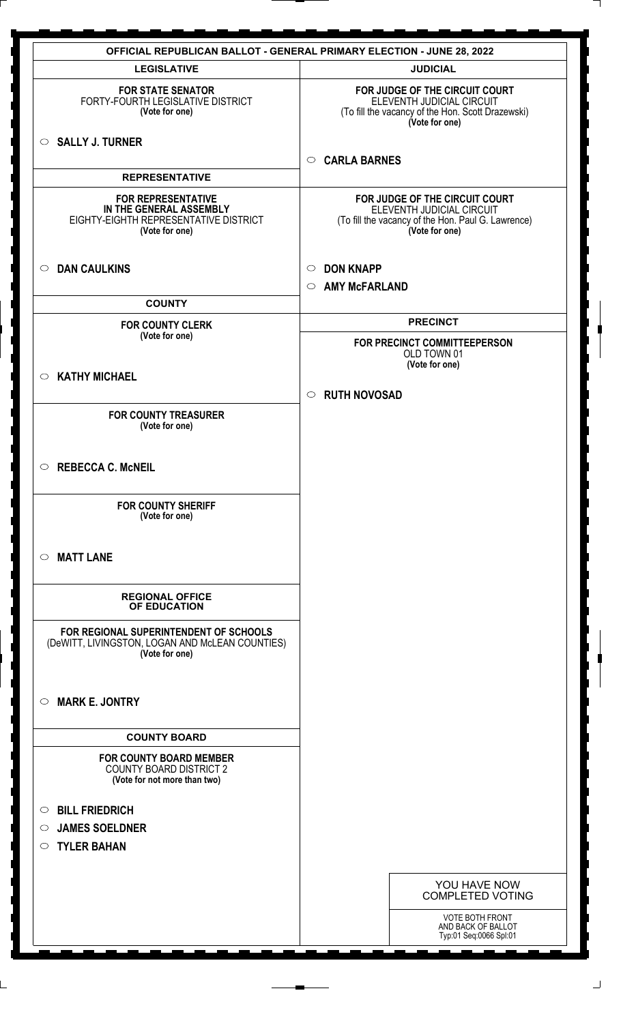| <b>OFFICIAL REPUBLICAN BALLOT - GENERAL PRIMARY ELECTION - JUNE 28, 2022</b>                                    |                                                                                                                                     |  |
|-----------------------------------------------------------------------------------------------------------------|-------------------------------------------------------------------------------------------------------------------------------------|--|
| <b>LEGISLATIVE</b>                                                                                              | <b>JUDICIAL</b>                                                                                                                     |  |
| <b>FOR STATE SENATOR</b><br>FORTY-FOURTH LEGISLATIVE DISTRICT<br>(Vote for one)                                 | FOR JUDGE OF THE CIRCUIT COURT<br>ELEVENTH JUDICIAL CIRCUIT<br>(To fill the vacancy of the Hon. Scott Drazewski)<br>(Vote for one)  |  |
| SALLY J. TURNER                                                                                                 | <b>CARLA BARNES</b><br>$\circ$                                                                                                      |  |
| <b>REPRESENTATIVE</b>                                                                                           |                                                                                                                                     |  |
| <b>FOR REPRESENTATIVE</b><br>IN THE GENERAL ASSEMBLY<br>EIGHTY-EIGHTH REPRESENTATIVE DISTRICT<br>(Vote for one) | FOR JUDGE OF THE CIRCUIT COURT<br>ELEVENTH JUDICIAL CIRCUIT<br>(To fill the vacancy of the Hon. Paul G. Lawrence)<br>(Vote for one) |  |
| <b>DAN CAULKINS</b><br>$\circ$                                                                                  | <b>DON KNAPP</b><br>$\circ$                                                                                                         |  |
| <b>COUNTY</b>                                                                                                   | <b>AMY McFARLAND</b><br>$\circ$                                                                                                     |  |
| <b>FOR COUNTY CLERK</b>                                                                                         | <b>PRECINCT</b>                                                                                                                     |  |
| (Vote for one)                                                                                                  | FOR PRECINCT COMMITTEEPERSON<br>OLD TOWN 01                                                                                         |  |
| $\circ$ KATHY MICHAEL                                                                                           | (Vote for one)                                                                                                                      |  |
|                                                                                                                 | <b>RUTH NOVOSAD</b><br>$\circ$                                                                                                      |  |
| <b>FOR COUNTY TREASURER</b><br>(Vote for one)                                                                   |                                                                                                                                     |  |
| <b>REBECCA C. McNEIL</b><br>$\circ$                                                                             |                                                                                                                                     |  |
| <b>FOR COUNTY SHERIFF</b><br>(Vote for one)                                                                     |                                                                                                                                     |  |
| <b>MATT LANE</b><br>$\circ$                                                                                     |                                                                                                                                     |  |
| <b>REGIONAL OFFICE</b><br>OF EDUCATION                                                                          |                                                                                                                                     |  |
| FOR REGIONAL SUPERINTENDENT OF SCHOOLS<br>(DeWITT, LIVINGSTON, LOGAN AND McLEAN COUNTIES)<br>(Vote for one)     |                                                                                                                                     |  |
| <b>MARK E. JONTRY</b><br>$\circ$                                                                                |                                                                                                                                     |  |
| <b>COUNTY BOARD</b>                                                                                             |                                                                                                                                     |  |
| <b>FOR COUNTY BOARD MEMBER</b><br><b>COUNTY BOARD DISTRICT 2</b><br>(Vote for not more than two)                |                                                                                                                                     |  |
| <b>BILL FRIEDRICH</b><br>$\circ$                                                                                |                                                                                                                                     |  |
| <b>JAMES SOELDNER</b><br>$\circ$                                                                                |                                                                                                                                     |  |
| <b>TYLER BAHAN</b><br>$\circ$                                                                                   |                                                                                                                                     |  |
|                                                                                                                 |                                                                                                                                     |  |
|                                                                                                                 | YOU HAVE NOW<br><b>COMPLETED VOTING</b>                                                                                             |  |
|                                                                                                                 | <b>VOTE BOTH FRONT</b><br>AND BACK OF BALLOT<br>Typ:01 Seq:0066 Spl:01                                                              |  |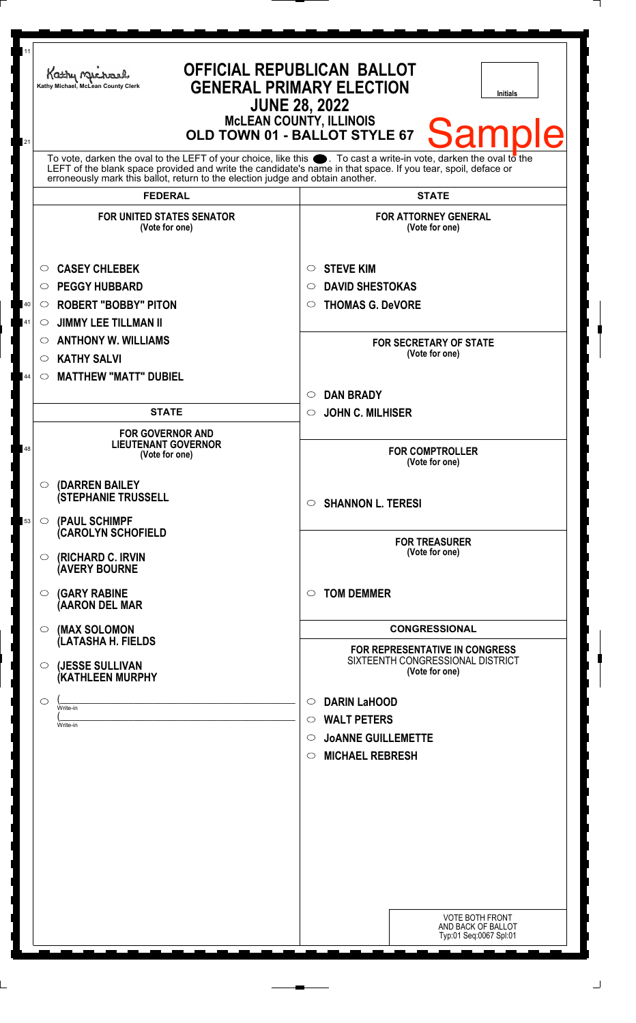| 11             | Kathy Michael<br>Kathy Michael, McLean County Clerk                                                                                                                                                                                                                                                                       | <b>OFFICIAL REPUBLICAN BALLOT</b><br><b>GENERAL PRIMARY ELECTION</b><br><b>Initials</b><br><b>JUNE 28, 2022</b><br><b>McLEAN COUNTY, ILLINOIS</b>      |
|----------------|---------------------------------------------------------------------------------------------------------------------------------------------------------------------------------------------------------------------------------------------------------------------------------------------------------------------------|--------------------------------------------------------------------------------------------------------------------------------------------------------|
| 21             | To vote, darken the oval to the LEFT of your choice, like this $\bullet$ . To cast a write-in vote, darken the oval to the<br>LEFT of the blank space provided and write the candidate's name in that space. If you tear, spoil, deface or erroneously mark this ballot, return to the election judge and obtain another. | <b>Sample</b><br>OLD TOWN 01 - BALLOT STYLE 67                                                                                                         |
|                | <b>FEDERAL</b>                                                                                                                                                                                                                                                                                                            | <b>STATE</b>                                                                                                                                           |
|                | <b>FOR UNITED STATES SENATOR</b><br>(Vote for one)                                                                                                                                                                                                                                                                        | <b>FOR ATTORNEY GENERAL</b><br>(Vote for one)                                                                                                          |
| 40<br>41<br>44 | <b>CASEY CHLEBEK</b><br>$\circ$<br><b>PEGGY HUBBARD</b><br>$\circ$<br><b>ROBERT "BOBBY" PITON</b><br>$\circ$<br><b>JIMMY LEE TILLMAN II</b><br>$\circ$<br><b>ANTHONY W. WILLIAMS</b><br>$\circ$<br><b>KATHY SALVI</b><br>$\circ$<br><b>MATTHEW "MATT" DUBIEL</b><br>$\circ$                                               | <b>STEVE KIM</b><br>$\circ$<br><b>DAVID SHESTOKAS</b><br>○<br><b>THOMAS G. DeVORE</b><br>$\bigcirc$<br><b>FOR SECRETARY OF STATE</b><br>(Vote for one) |
|                |                                                                                                                                                                                                                                                                                                                           | <b>DAN BRADY</b><br>$\circ$                                                                                                                            |
|                | <b>STATE</b>                                                                                                                                                                                                                                                                                                              | <b>JOHN C. MILHISER</b><br>$\circ$                                                                                                                     |
| 48             | <b>FOR GOVERNOR AND</b><br><b>LIEUTENANT GOVERNOR</b><br>(Vote for one)                                                                                                                                                                                                                                                   | <b>FOR COMPTROLLER</b><br>(Vote for one)                                                                                                               |
| 53             | $\circ$ (DARREN BAILEY<br><b>(STEPHANIE TRUSSELL</b><br>$\circ$ (PAUL SCHIMPF                                                                                                                                                                                                                                             | <b>SHANNON L. TERESI</b><br>$\circ$                                                                                                                    |
|                | <b>CAROLYN SCHOFIELD</b><br><b>(RICHARD C. IRVIN</b><br>$\circ$<br><b>AVERY BOURNE</b>                                                                                                                                                                                                                                    | <b>FOR TREASURER</b><br>(Vote for one)                                                                                                                 |
|                | <b>(GARY RABINE</b><br>$\circ$<br>(AARON DEL MAR                                                                                                                                                                                                                                                                          | <b>TOM DEMMER</b><br>$\bigcirc$                                                                                                                        |
|                | $\circ$ (MAX SOLOMON<br>(LATASHA H. FIELDS                                                                                                                                                                                                                                                                                | <b>CONGRESSIONAL</b>                                                                                                                                   |
|                | (JESSE SULLIVAN<br>$\circ$<br>(KATHLEEN MURPHY                                                                                                                                                                                                                                                                            | <b>FOR REPRESENTATIVE IN CONGRESS</b><br>SIXTEENTH CONGRESSIONAL DISTRICT<br>(Vote for one)                                                            |
|                | $\circ$<br>Write-in<br>Write-in                                                                                                                                                                                                                                                                                           | <b>DARIN LaHOOD</b><br>$\circ$<br><b>WALT PETERS</b><br>$\circ$<br><b>JOANNE GUILLEMETTE</b><br>$\circ$<br><b>MICHAEL REBRESH</b><br>$\circ$           |
|                |                                                                                                                                                                                                                                                                                                                           |                                                                                                                                                        |
|                |                                                                                                                                                                                                                                                                                                                           | <b>VOTE BOTH FRONT</b><br>AND BACK OF BALLOT<br>Typ:01 Seq:0067 Spl:01                                                                                 |